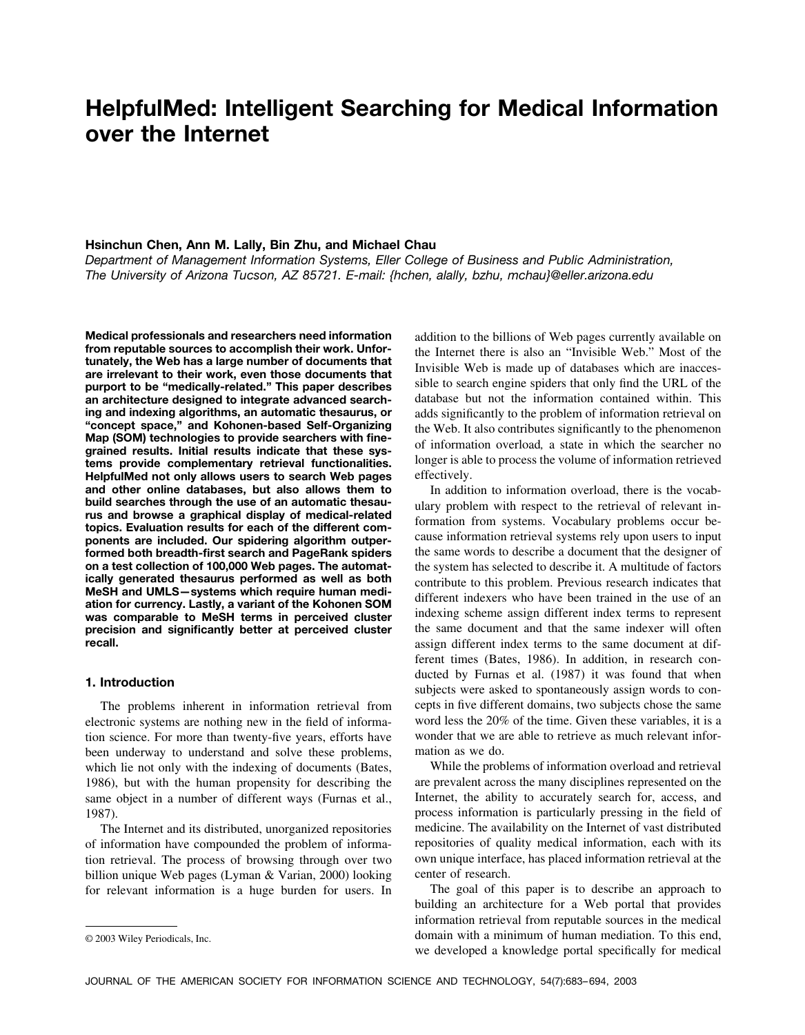# **HelpfulMed: Intelligent Searching for Medical Information over the Internet**

## **Hsinchun Chen, Ann M. Lally, Bin Zhu, and Michael Chau**

*Department of Management Information Systems, Eller College of Business and Public Administration, The University of Arizona Tucson, AZ 85721. E-mail: {hchen, alally, bzhu, mchau}@eller.arizona.edu*

**Medical professionals and researchers need information from reputable sources to accomplish their work. Unfortunately, the Web has a large number of documents that are irrelevant to their work, even those documents that purport to be "medically-related." This paper describes an architecture designed to integrate advanced searching and indexing algorithms, an automatic thesaurus, or "concept space," and Kohonen-based Self-Organizing Map (SOM) technologies to provide searchers with finegrained results. Initial results indicate that these systems provide complementary retrieval functionalities. HelpfulMed not only allows users to search Web pages and other online databases, but also allows them to build searches through the use of an automatic thesaurus and browse a graphical display of medical-related topics. Evaluation results for each of the different components are included. Our spidering algorithm outperformed both breadth-first search and PageRank spiders on a test collection of 100,000 Web pages. The automatically generated thesaurus performed as well as both MeSH and UMLS—systems which require human mediation for currency. Lastly, a variant of the Kohonen SOM was comparable to MeSH terms in perceived cluster precision and significantly better at perceived cluster recall.**

## **1. Introduction**

The problems inherent in information retrieval from electronic systems are nothing new in the field of information science. For more than twenty-five years, efforts have been underway to understand and solve these problems, which lie not only with the indexing of documents (Bates, 1986), but with the human propensity for describing the same object in a number of different ways (Furnas et al., 1987).

The Internet and its distributed, unorganized repositories of information have compounded the problem of information retrieval. The process of browsing through over two billion unique Web pages (Lyman & Varian, 2000) looking for relevant information is a huge burden for users. In

addition to the billions of Web pages currently available on the Internet there is also an "Invisible Web." Most of the Invisible Web is made up of databases which are inaccessible to search engine spiders that only find the URL of the database but not the information contained within. This adds significantly to the problem of information retrieval on the Web. It also contributes significantly to the phenomenon of information overload*,* a state in which the searcher no longer is able to process the volume of information retrieved effectively.

In addition to information overload, there is the vocabulary problem with respect to the retrieval of relevant information from systems. Vocabulary problems occur because information retrieval systems rely upon users to input the same words to describe a document that the designer of the system has selected to describe it. A multitude of factors contribute to this problem. Previous research indicates that different indexers who have been trained in the use of an indexing scheme assign different index terms to represent the same document and that the same indexer will often assign different index terms to the same document at different times (Bates, 1986). In addition, in research conducted by Furnas et al. (1987) it was found that when subjects were asked to spontaneously assign words to concepts in five different domains, two subjects chose the same word less the 20% of the time. Given these variables, it is a wonder that we are able to retrieve as much relevant information as we do.

While the problems of information overload and retrieval are prevalent across the many disciplines represented on the Internet, the ability to accurately search for, access, and process information is particularly pressing in the field of medicine. The availability on the Internet of vast distributed repositories of quality medical information, each with its own unique interface, has placed information retrieval at the center of research.

The goal of this paper is to describe an approach to building an architecture for a Web portal that provides information retrieval from reputable sources in the medical domain with a minimum of human mediation. To this end, we developed a knowledge portal specifically for medical

<sup>© 2003</sup> Wiley Periodicals, Inc.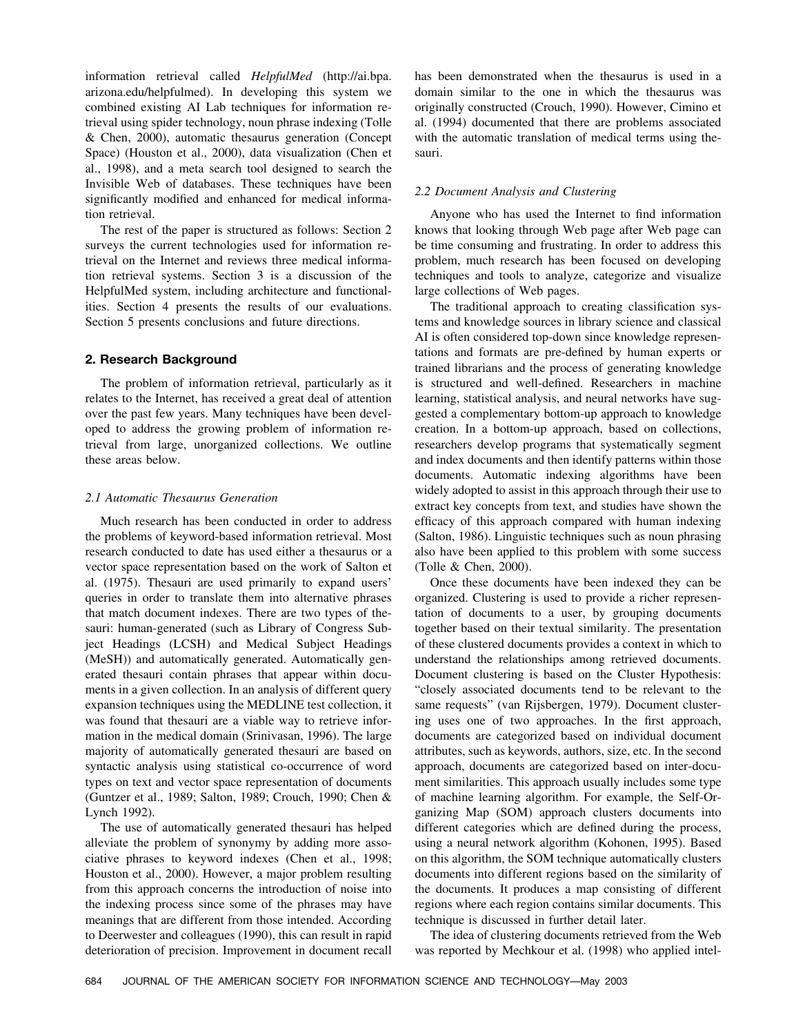information retrieval called *HelpfulMed* (http://ai.bpa. arizona.edu/helpfulmed). In developing this system we combined existing AI Lab techniques for information retrieval using spider technology, noun phrase indexing (Tolle & Chen, 2000), automatic thesaurus generation (Concept Space) (Houston et al., 2000), data visualization (Chen et al., 1998), and a meta search tool designed to search the Invisible Web of databases. These techniques have been significantly modified and enhanced for medical information retrieval.

The rest of the paper is structured as follows: Section 2 surveys the current technologies used for information retrieval on the Internet and reviews three medical information retrieval systems. Section 3 is a discussion of the HelpfulMed system, including architecture and functionalities. Section 4 presents the results of our evaluations. Section 5 presents conclusions and future directions.

# **2. Research Background**

The problem of information retrieval, particularly as it relates to the Internet, has received a great deal of attention over the past few years. Many techniques have been developed to address the growing problem of information retrieval from large, unorganized collections. We outline these areas below.

## *2.1 Automatic Thesaurus Generation*

Much research has been conducted in order to address the problems of keyword-based information retrieval. Most research conducted to date has used either a thesaurus or a vector space representation based on the work of Salton et al. (1975). Thesauri are used primarily to expand users' queries in order to translate them into alternative phrases that match document indexes. There are two types of thesauri: human-generated (such as Library of Congress Subject Headings (LCSH) and Medical Subject Headings (MeSH)) and automatically generated. Automatically generated thesauri contain phrases that appear within documents in a given collection. In an analysis of different query expansion techniques using the MEDLINE test collection, it was found that thesauri are a viable way to retrieve information in the medical domain (Srinivasan, 1996). The large majority of automatically generated thesauri are based on syntactic analysis using statistical co-occurrence of word types on text and vector space representation of documents (Guntzer et al., 1989; Salton, 1989; Crouch, 1990; Chen & Lynch 1992).

The use of automatically generated thesauri has helped alleviate the problem of synonymy by adding more associative phrases to keyword indexes (Chen et al., 1998; Houston et al., 2000). However, a major problem resulting from this approach concerns the introduction of noise into the indexing process since some of the phrases may have meanings that are different from those intended. According to Deerwester and colleagues (1990), this can result in rapid deterioration of precision. Improvement in document recall

has been demonstrated when the thesaurus is used in a domain similar to the one in which the thesaurus was originally constructed (Crouch, 1990). However, Cimino et al. (1994) documented that there are problems associated with the automatic translation of medical terms using thesauri.

## *2.2 Document Analysis and Clustering*

Anyone who has used the Internet to find information knows that looking through Web page after Web page can be time consuming and frustrating. In order to address this problem, much research has been focused on developing techniques and tools to analyze, categorize and visualize large collections of Web pages.

The traditional approach to creating classification systems and knowledge sources in library science and classical AI is often considered top-down since knowledge representations and formats are pre-defined by human experts or trained librarians and the process of generating knowledge is structured and well-defined. Researchers in machine learning, statistical analysis, and neural networks have suggested a complementary bottom-up approach to knowledge creation. In a bottom-up approach, based on collections, researchers develop programs that systematically segment and index documents and then identify patterns within those documents. Automatic indexing algorithms have been widely adopted to assist in this approach through their use to extract key concepts from text, and studies have shown the efficacy of this approach compared with human indexing (Salton, 1986). Linguistic techniques such as noun phrasing also have been applied to this problem with some success (Tolle & Chen, 2000).

Once these documents have been indexed they can be organized. Clustering is used to provide a richer representation of documents to a user, by grouping documents together based on their textual similarity. The presentation of these clustered documents provides a context in which to understand the relationships among retrieved documents. Document clustering is based on the Cluster Hypothesis: "closely associated documents tend to be relevant to the same requests" (van Rijsbergen, 1979). Document clustering uses one of two approaches. In the first approach, documents are categorized based on individual document attributes, such as keywords, authors, size, etc. In the second approach, documents are categorized based on inter-document similarities. This approach usually includes some type of machine learning algorithm. For example, the Self-Organizing Map (SOM) approach clusters documents into different categories which are defined during the process, using a neural network algorithm (Kohonen, 1995). Based on this algorithm, the SOM technique automatically clusters documents into different regions based on the similarity of the documents. It produces a map consisting of different regions where each region contains similar documents. This technique is discussed in further detail later.

The idea of clustering documents retrieved from the Web was reported by Mechkour et al. (1998) who applied intel-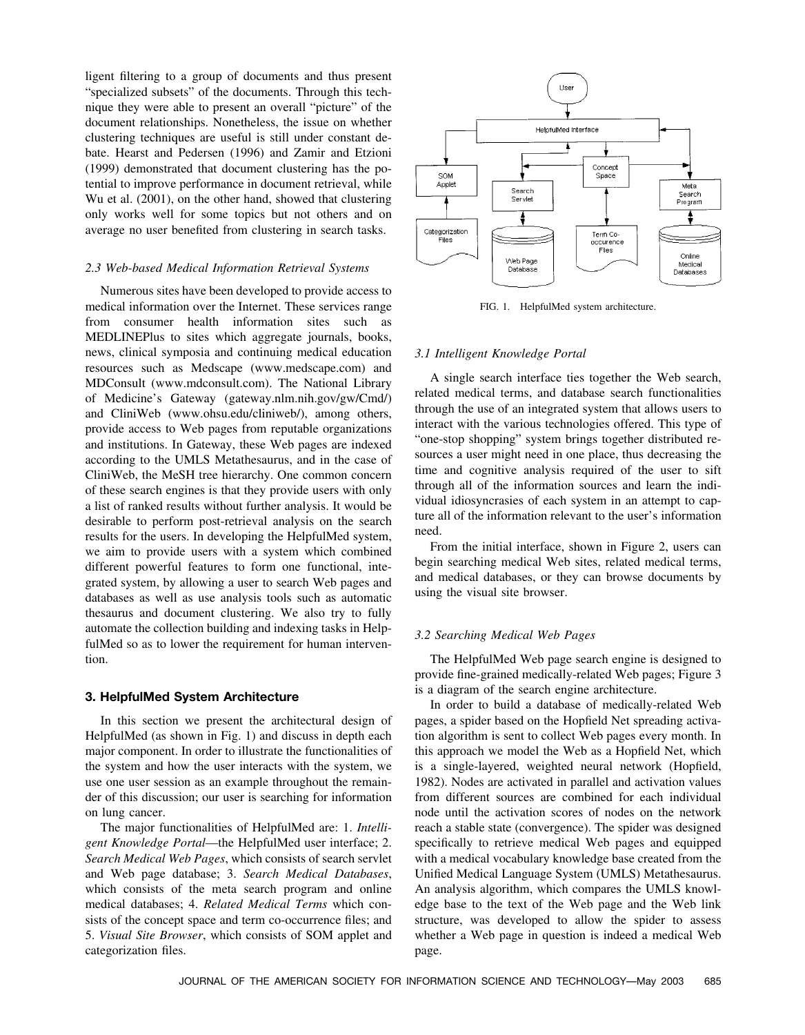ligent filtering to a group of documents and thus present "specialized subsets" of the documents. Through this technique they were able to present an overall "picture" of the document relationships. Nonetheless, the issue on whether clustering techniques are useful is still under constant debate. Hearst and Pedersen (1996) and Zamir and Etzioni (1999) demonstrated that document clustering has the potential to improve performance in document retrieval, while Wu et al. (2001), on the other hand, showed that clustering only works well for some topics but not others and on average no user benefited from clustering in search tasks.

#### *2.3 Web-based Medical Information Retrieval Systems*

Numerous sites have been developed to provide access to medical information over the Internet. These services range from consumer health information sites such as MEDLINEPlus to sites which aggregate journals, books, news, clinical symposia and continuing medical education resources such as Medscape (www.medscape.com) and MDConsult (www.mdconsult.com). The National Library of Medicine's Gateway (gateway.nlm.nih.gov/gw/Cmd/) and CliniWeb (www.ohsu.edu/cliniweb/), among others, provide access to Web pages from reputable organizations and institutions. In Gateway, these Web pages are indexed according to the UMLS Metathesaurus, and in the case of CliniWeb, the MeSH tree hierarchy. One common concern of these search engines is that they provide users with only a list of ranked results without further analysis. It would be desirable to perform post-retrieval analysis on the search results for the users. In developing the HelpfulMed system, we aim to provide users with a system which combined different powerful features to form one functional, integrated system, by allowing a user to search Web pages and databases as well as use analysis tools such as automatic thesaurus and document clustering. We also try to fully automate the collection building and indexing tasks in HelpfulMed so as to lower the requirement for human intervention.

# **3. HelpfulMed System Architecture**

In this section we present the architectural design of HelpfulMed (as shown in Fig. 1) and discuss in depth each major component. In order to illustrate the functionalities of the system and how the user interacts with the system, we use one user session as an example throughout the remainder of this discussion; our user is searching for information on lung cancer.

The major functionalities of HelpfulMed are: 1. *Intelligent Knowledge Portal*—the HelpfulMed user interface; 2. *Search Medical Web Pages*, which consists of search servlet and Web page database; 3. *Search Medical Databases*, which consists of the meta search program and online medical databases; 4. *Related Medical Terms* which consists of the concept space and term co-occurrence files; and 5. *Visual Site Browser*, which consists of SOM applet and categorization files.



FIG. 1. HelpfulMed system architecture.

#### *3.1 Intelligent Knowledge Portal*

A single search interface ties together the Web search, related medical terms, and database search functionalities through the use of an integrated system that allows users to interact with the various technologies offered. This type of "one-stop shopping" system brings together distributed resources a user might need in one place, thus decreasing the time and cognitive analysis required of the user to sift through all of the information sources and learn the individual idiosyncrasies of each system in an attempt to capture all of the information relevant to the user's information need.

From the initial interface, shown in Figure 2, users can begin searching medical Web sites, related medical terms, and medical databases, or they can browse documents by using the visual site browser.

## *3.2 Searching Medical Web Pages*

The HelpfulMed Web page search engine is designed to provide fine-grained medically-related Web pages; Figure 3 is a diagram of the search engine architecture.

In order to build a database of medically-related Web pages, a spider based on the Hopfield Net spreading activation algorithm is sent to collect Web pages every month. In this approach we model the Web as a Hopfield Net, which is a single-layered, weighted neural network (Hopfield, 1982). Nodes are activated in parallel and activation values from different sources are combined for each individual node until the activation scores of nodes on the network reach a stable state (convergence). The spider was designed specifically to retrieve medical Web pages and equipped with a medical vocabulary knowledge base created from the Unified Medical Language System (UMLS) Metathesaurus. An analysis algorithm, which compares the UMLS knowledge base to the text of the Web page and the Web link structure, was developed to allow the spider to assess whether a Web page in question is indeed a medical Web page.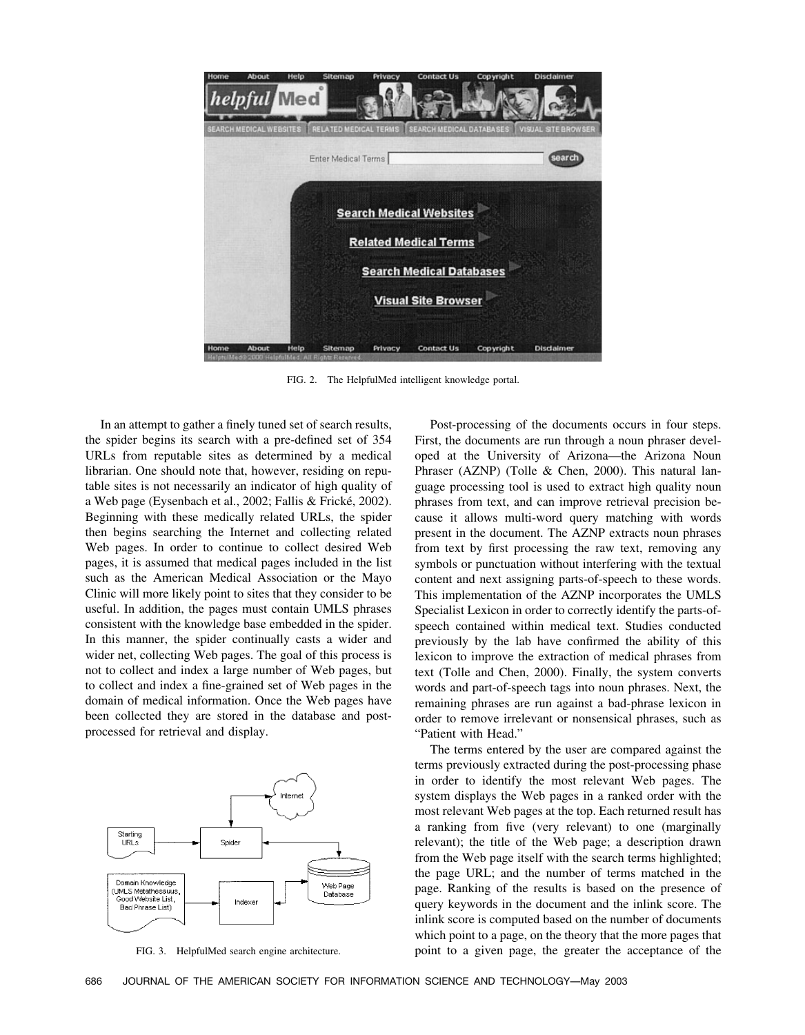

FIG. 2. The HelpfulMed intelligent knowledge portal.

In an attempt to gather a finely tuned set of search results, the spider begins its search with a pre-defined set of 354 URLs from reputable sites as determined by a medical librarian. One should note that, however, residing on reputable sites is not necessarily an indicator of high quality of a Web page (Eysenbach et al., 2002; Fallis & Frické, 2002). Beginning with these medically related URLs, the spider then begins searching the Internet and collecting related Web pages. In order to continue to collect desired Web pages, it is assumed that medical pages included in the list such as the American Medical Association or the Mayo Clinic will more likely point to sites that they consider to be useful. In addition, the pages must contain UMLS phrases consistent with the knowledge base embedded in the spider. In this manner, the spider continually casts a wider and wider net, collecting Web pages. The goal of this process is not to collect and index a large number of Web pages, but to collect and index a fine-grained set of Web pages in the domain of medical information. Once the Web pages have been collected they are stored in the database and postprocessed for retrieval and display.



FIG. 3. HelpfulMed search engine architecture.

Post-processing of the documents occurs in four steps. First, the documents are run through a noun phraser developed at the University of Arizona—the Arizona Noun Phraser (AZNP) (Tolle & Chen, 2000). This natural language processing tool is used to extract high quality noun phrases from text, and can improve retrieval precision because it allows multi-word query matching with words present in the document. The AZNP extracts noun phrases from text by first processing the raw text, removing any symbols or punctuation without interfering with the textual content and next assigning parts-of-speech to these words. This implementation of the AZNP incorporates the UMLS Specialist Lexicon in order to correctly identify the parts-ofspeech contained within medical text. Studies conducted previously by the lab have confirmed the ability of this lexicon to improve the extraction of medical phrases from text (Tolle and Chen, 2000). Finally, the system converts words and part-of-speech tags into noun phrases. Next, the remaining phrases are run against a bad-phrase lexicon in order to remove irrelevant or nonsensical phrases, such as "Patient with Head."

The terms entered by the user are compared against the terms previously extracted during the post-processing phase in order to identify the most relevant Web pages. The system displays the Web pages in a ranked order with the most relevant Web pages at the top. Each returned result has a ranking from five (very relevant) to one (marginally relevant); the title of the Web page; a description drawn from the Web page itself with the search terms highlighted; the page URL; and the number of terms matched in the page. Ranking of the results is based on the presence of query keywords in the document and the inlink score. The inlink score is computed based on the number of documents which point to a page, on the theory that the more pages that point to a given page, the greater the acceptance of the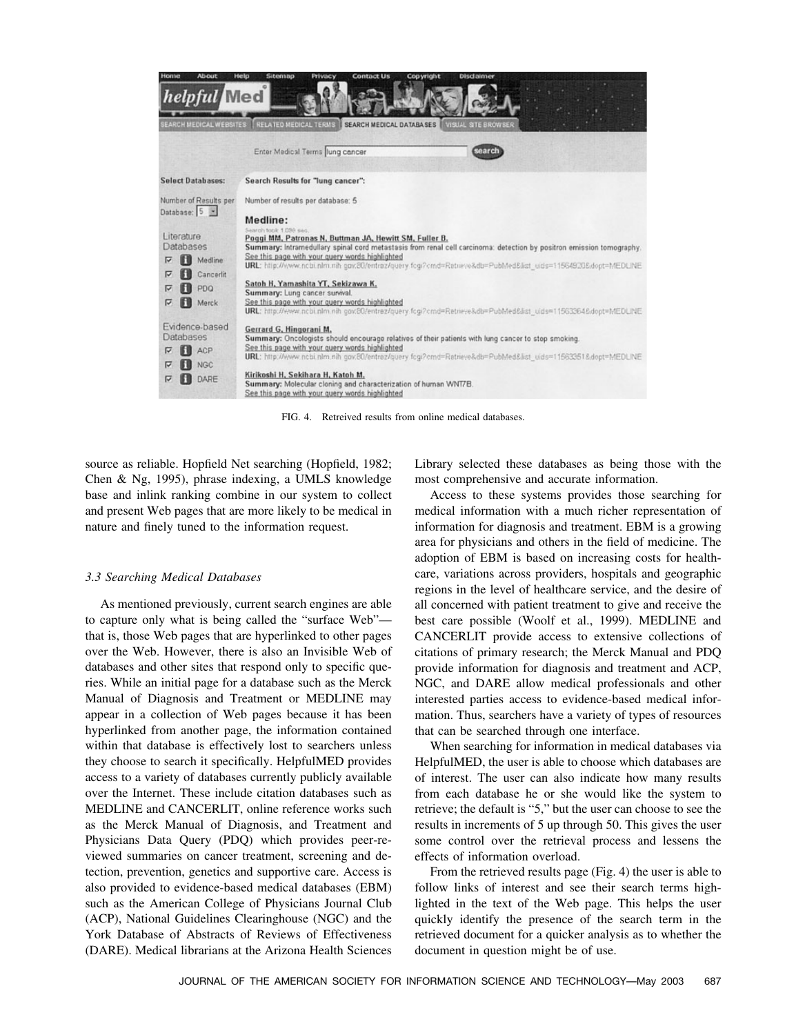

FIG. 4. Retreived results from online medical databases.

source as reliable. Hopfield Net searching (Hopfield, 1982; Chen & Ng, 1995), phrase indexing, a UMLS knowledge base and inlink ranking combine in our system to collect and present Web pages that are more likely to be medical in nature and finely tuned to the information request.

## *3.3 Searching Medical Databases*

As mentioned previously, current search engines are able to capture only what is being called the "surface Web" that is, those Web pages that are hyperlinked to other pages over the Web. However, there is also an Invisible Web of databases and other sites that respond only to specific queries. While an initial page for a database such as the Merck Manual of Diagnosis and Treatment or MEDLINE may appear in a collection of Web pages because it has been hyperlinked from another page, the information contained within that database is effectively lost to searchers unless they choose to search it specifically. HelpfulMED provides access to a variety of databases currently publicly available over the Internet. These include citation databases such as MEDLINE and CANCERLIT, online reference works such as the Merck Manual of Diagnosis, and Treatment and Physicians Data Query (PDQ) which provides peer-reviewed summaries on cancer treatment, screening and detection, prevention, genetics and supportive care. Access is also provided to evidence-based medical databases (EBM) such as the American College of Physicians Journal Club (ACP), National Guidelines Clearinghouse (NGC) and the York Database of Abstracts of Reviews of Effectiveness (DARE). Medical librarians at the Arizona Health Sciences

Library selected these databases as being those with the most comprehensive and accurate information.

Access to these systems provides those searching for medical information with a much richer representation of information for diagnosis and treatment. EBM is a growing area for physicians and others in the field of medicine. The adoption of EBM is based on increasing costs for healthcare, variations across providers, hospitals and geographic regions in the level of healthcare service, and the desire of all concerned with patient treatment to give and receive the best care possible (Woolf et al., 1999). MEDLINE and CANCERLIT provide access to extensive collections of citations of primary research; the Merck Manual and PDQ provide information for diagnosis and treatment and ACP, NGC, and DARE allow medical professionals and other interested parties access to evidence-based medical information. Thus, searchers have a variety of types of resources that can be searched through one interface.

When searching for information in medical databases via HelpfulMED, the user is able to choose which databases are of interest. The user can also indicate how many results from each database he or she would like the system to retrieve; the default is "5," but the user can choose to see the results in increments of 5 up through 50. This gives the user some control over the retrieval process and lessens the effects of information overload.

From the retrieved results page (Fig. 4) the user is able to follow links of interest and see their search terms highlighted in the text of the Web page. This helps the user quickly identify the presence of the search term in the retrieved document for a quicker analysis as to whether the document in question might be of use.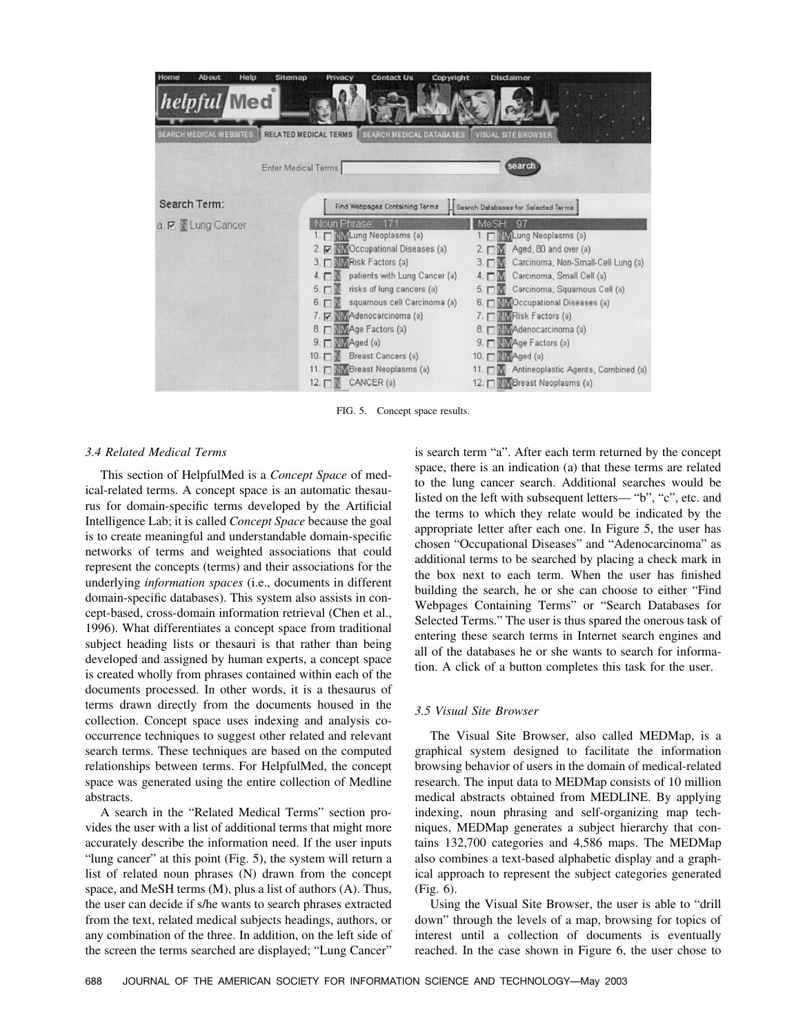

FIG. 5. Concept space results.

#### *3.4 Related Medical Terms*

This section of HelpfulMed is a *Concept Space* of medical-related terms. A concept space is an automatic thesaurus for domain-specific terms developed by the Artificial Intelligence Lab; it is called *Concept Space* because the goal is to create meaningful and understandable domain-specific networks of terms and weighted associations that could represent the concepts (terms) and their associations for the underlying *information spaces* (i.e., documents in different domain-specific databases). This system also assists in concept-based, cross-domain information retrieval (Chen et al., 1996). What differentiates a concept space from traditional subject heading lists or thesauri is that rather than being developed and assigned by human experts, a concept space is created wholly from phrases contained within each of the documents processed. In other words, it is a thesaurus of terms drawn directly from the documents housed in the collection. Concept space uses indexing and analysis cooccurrence techniques to suggest other related and relevant search terms. These techniques are based on the computed relationships between terms. For HelpfulMed, the concept space was generated using the entire collection of Medline abstracts.

A search in the "Related Medical Terms" section provides the user with a list of additional terms that might more accurately describe the information need. If the user inputs "lung cancer" at this point (Fig. 5), the system will return a list of related noun phrases (N) drawn from the concept space, and MeSH terms (M), plus a list of authors (A). Thus, the user can decide if s/he wants to search phrases extracted from the text, related medical subjects headings, authors, or any combination of the three. In addition, on the left side of the screen the terms searched are displayed; "Lung Cancer"

is search term "a". After each term returned by the concept space, there is an indication (a) that these terms are related to the lung cancer search. Additional searches would be listed on the left with subsequent letters— "b", "c", etc. and the terms to which they relate would be indicated by the appropriate letter after each one. In Figure 5, the user has chosen "Occupational Diseases" and "Adenocarcinoma" as additional terms to be searched by placing a check mark in the box next to each term. When the user has finished building the search, he or she can choose to either "Find Webpages Containing Terms" or "Search Databases for Selected Terms." The user is thus spared the onerous task of entering these search terms in Internet search engines and all of the databases he or she wants to search for information. A click of a button completes this task for the user.

#### *3.5 Visual Site Browser*

The Visual Site Browser, also called MEDMap, is a graphical system designed to facilitate the information browsing behavior of users in the domain of medical-related research. The input data to MEDMap consists of 10 million medical abstracts obtained from MEDLINE. By applying indexing, noun phrasing and self-organizing map techniques, MEDMap generates a subject hierarchy that contains 132,700 categories and 4,586 maps. The MEDMap also combines a text-based alphabetic display and a graphical approach to represent the subject categories generated (Fig. 6).

Using the Visual Site Browser, the user is able to "drill down" through the levels of a map, browsing for topics of interest until a collection of documents is eventually reached. In the case shown in Figure 6, the user chose to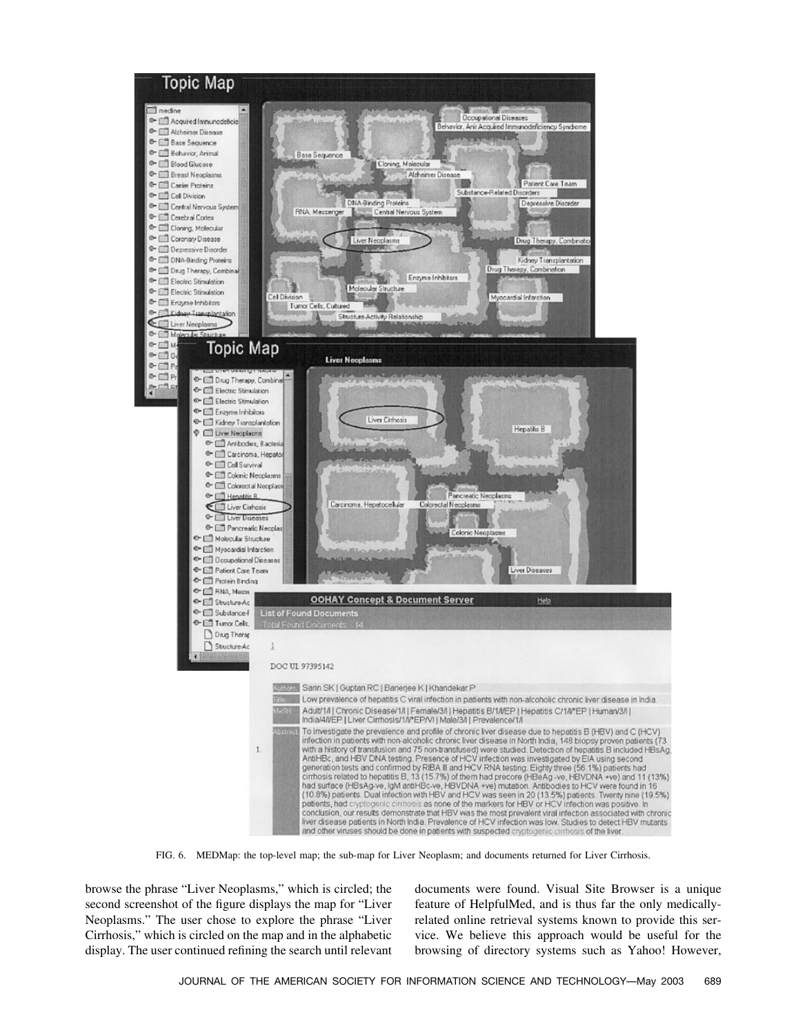

FIG. 6. MEDMap: the top-level map; the sub-map for Liver Neoplasm; and documents returned for Liver Cirrhosis.

browse the phrase "Liver Neoplasms," which is circled; the second screenshot of the figure displays the map for "Liver Neoplasms." The user chose to explore the phrase "Liver Cirrhosis," which is circled on the map and in the alphabetic display. The user continued refining the search until relevant

documents were found. Visual Site Browser is a unique feature of HelpfulMed, and is thus far the only medicallyrelated online retrieval systems known to provide this service. We believe this approach would be useful for the browsing of directory systems such as Yahoo! However,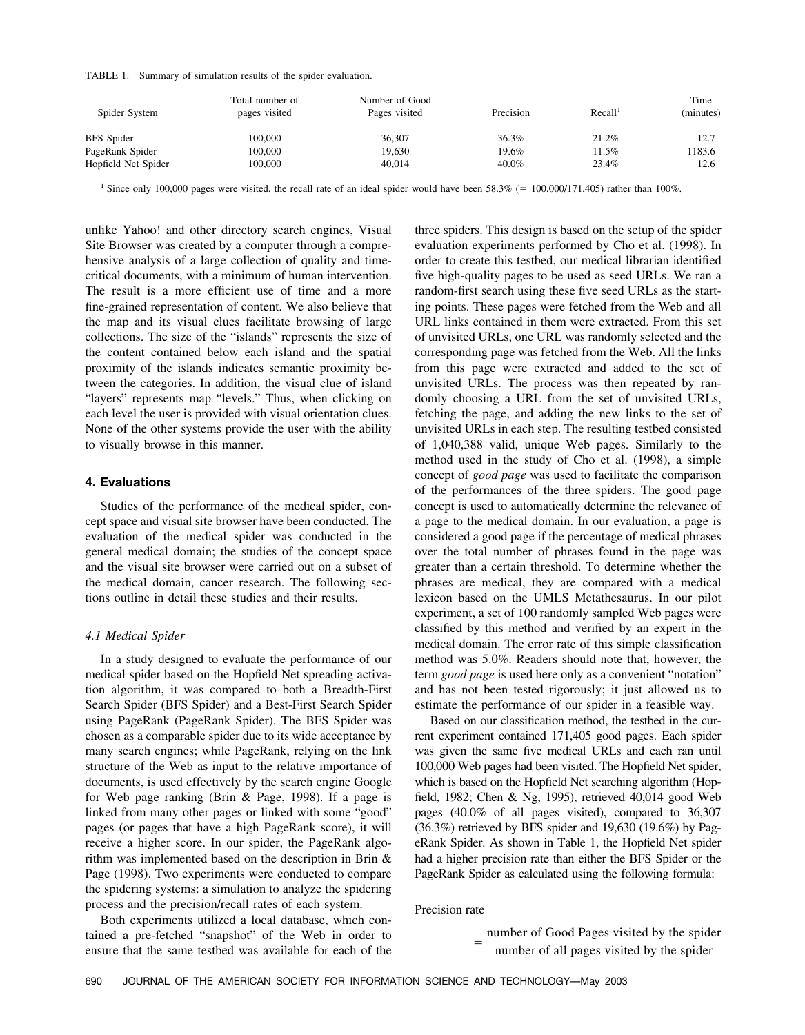| TABLE 1. | Summary of simulation results of the spider evaluation. |  |  |  |  |  |  |  |
|----------|---------------------------------------------------------|--|--|--|--|--|--|--|
|----------|---------------------------------------------------------|--|--|--|--|--|--|--|

| Spider System       | Total number of<br>pages visited | Number of Good<br>Pages visited | Precision | Recall <sup>1</sup> | Time<br>(minutes) |
|---------------------|----------------------------------|---------------------------------|-----------|---------------------|-------------------|
| BFS Spider          | 100,000                          | 36,307                          | 36.3%     | 21.2%               | 12.7              |
| PageRank Spider     | 100,000                          | 19,630                          | 19.6%     | 11.5%               | 1183.6            |
| Hopfield Net Spider | 100.000                          | 40,014                          | 40.0%     | 23.4%               | 12.6              |

<sup>1</sup> Since only 100,000 pages were visited, the recall rate of an ideal spider would have been 58.3% (= 100,000/171,405) rather than 100%.

unlike Yahoo! and other directory search engines, Visual Site Browser was created by a computer through a comprehensive analysis of a large collection of quality and timecritical documents, with a minimum of human intervention. The result is a more efficient use of time and a more fine-grained representation of content. We also believe that the map and its visual clues facilitate browsing of large collections. The size of the "islands" represents the size of the content contained below each island and the spatial proximity of the islands indicates semantic proximity between the categories. In addition, the visual clue of island "layers" represents map "levels." Thus, when clicking on each level the user is provided with visual orientation clues. None of the other systems provide the user with the ability to visually browse in this manner.

#### **4. Evaluations**

Studies of the performance of the medical spider, concept space and visual site browser have been conducted. The evaluation of the medical spider was conducted in the general medical domain; the studies of the concept space and the visual site browser were carried out on a subset of the medical domain, cancer research. The following sections outline in detail these studies and their results.

## *4.1 Medical Spider*

In a study designed to evaluate the performance of our medical spider based on the Hopfield Net spreading activation algorithm, it was compared to both a Breadth-First Search Spider (BFS Spider) and a Best-First Search Spider using PageRank (PageRank Spider). The BFS Spider was chosen as a comparable spider due to its wide acceptance by many search engines; while PageRank, relying on the link structure of the Web as input to the relative importance of documents, is used effectively by the search engine Google for Web page ranking (Brin & Page, 1998). If a page is linked from many other pages or linked with some "good" pages (or pages that have a high PageRank score), it will receive a higher score. In our spider, the PageRank algorithm was implemented based on the description in Brin & Page (1998). Two experiments were conducted to compare the spidering systems: a simulation to analyze the spidering process and the precision/recall rates of each system.

Both experiments utilized a local database, which contained a pre-fetched "snapshot" of the Web in order to ensure that the same testbed was available for each of the

three spiders. This design is based on the setup of the spider evaluation experiments performed by Cho et al. (1998). In order to create this testbed, our medical librarian identified five high-quality pages to be used as seed URLs. We ran a random-first search using these five seed URLs as the starting points. These pages were fetched from the Web and all URL links contained in them were extracted. From this set of unvisited URLs, one URL was randomly selected and the corresponding page was fetched from the Web. All the links from this page were extracted and added to the set of unvisited URLs. The process was then repeated by randomly choosing a URL from the set of unvisited URLs, fetching the page, and adding the new links to the set of unvisited URLs in each step. The resulting testbed consisted of 1,040,388 valid, unique Web pages. Similarly to the method used in the study of Cho et al. (1998), a simple concept of *good page* was used to facilitate the comparison of the performances of the three spiders. The good page concept is used to automatically determine the relevance of a page to the medical domain. In our evaluation, a page is considered a good page if the percentage of medical phrases over the total number of phrases found in the page was greater than a certain threshold. To determine whether the phrases are medical, they are compared with a medical lexicon based on the UMLS Metathesaurus. In our pilot experiment, a set of 100 randomly sampled Web pages were classified by this method and verified by an expert in the medical domain. The error rate of this simple classification method was 5.0%. Readers should note that, however, the term *good page* is used here only as a convenient "notation" and has not been tested rigorously; it just allowed us to estimate the performance of our spider in a feasible way.

Based on our classification method, the testbed in the current experiment contained 171,405 good pages. Each spider was given the same five medical URLs and each ran until 100,000 Web pages had been visited. The Hopfield Net spider, which is based on the Hopfield Net searching algorithm (Hopfield, 1982; Chen & Ng, 1995), retrieved 40,014 good Web pages (40.0% of all pages visited), compared to 36,307 (36.3%) retrieved by BFS spider and 19,630 (19.6%) by PageRank Spider. As shown in Table 1, the Hopfield Net spider had a higher precision rate than either the BFS Spider or the PageRank Spider as calculated using the following formula:

Precision rate

 number of Good Pages visited by the spider number of all pages visited by the spider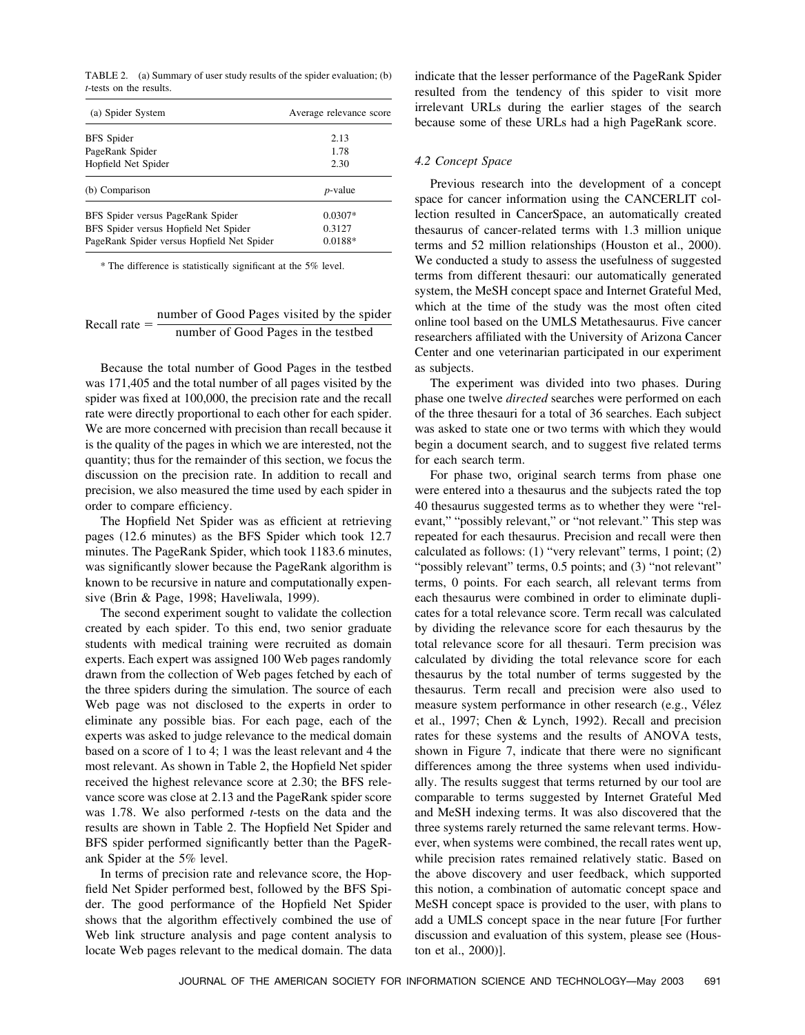TABLE 2. (a) Summary of user study results of the spider evaluation; (b) *t*-tests on the results.

| (a) Spider System                          | Average relevance score |
|--------------------------------------------|-------------------------|
| <b>BFS</b> Spider                          | 2.13                    |
| PageRank Spider                            | 1.78                    |
| Hopfield Net Spider                        | 2.30                    |
| (b) Comparison                             | $p$ -value              |
| BFS Spider versus PageRank Spider          | $0.0307*$               |
| BFS Spider versus Hopfield Net Spider      | 0.3127                  |
| PageRank Spider versus Hopfield Net Spider | $0.0188*$               |

\* The difference is statistically significant at the 5% level.

| Recall rate $=$ | number of Good Pages visited by the spider |
|-----------------|--------------------------------------------|
|                 | number of Good Pages in the testbed        |

Because the total number of Good Pages in the testbed was 171,405 and the total number of all pages visited by the spider was fixed at 100,000, the precision rate and the recall rate were directly proportional to each other for each spider. We are more concerned with precision than recall because it is the quality of the pages in which we are interested, not the quantity; thus for the remainder of this section, we focus the discussion on the precision rate. In addition to recall and precision, we also measured the time used by each spider in order to compare efficiency.

The Hopfield Net Spider was as efficient at retrieving pages (12.6 minutes) as the BFS Spider which took 12.7 minutes. The PageRank Spider, which took 1183.6 minutes, was significantly slower because the PageRank algorithm is known to be recursive in nature and computationally expensive (Brin & Page, 1998; Haveliwala, 1999).

The second experiment sought to validate the collection created by each spider. To this end, two senior graduate students with medical training were recruited as domain experts. Each expert was assigned 100 Web pages randomly drawn from the collection of Web pages fetched by each of the three spiders during the simulation. The source of each Web page was not disclosed to the experts in order to eliminate any possible bias. For each page, each of the experts was asked to judge relevance to the medical domain based on a score of 1 to 4; 1 was the least relevant and 4 the most relevant. As shown in Table 2, the Hopfield Net spider received the highest relevance score at 2.30; the BFS relevance score was close at 2.13 and the PageRank spider score was 1.78. We also performed *t*-tests on the data and the results are shown in Table 2. The Hopfield Net Spider and BFS spider performed significantly better than the PageRank Spider at the 5% level.

In terms of precision rate and relevance score, the Hopfield Net Spider performed best, followed by the BFS Spider. The good performance of the Hopfield Net Spider shows that the algorithm effectively combined the use of Web link structure analysis and page content analysis to locate Web pages relevant to the medical domain. The data indicate that the lesser performance of the PageRank Spider resulted from the tendency of this spider to visit more irrelevant URLs during the earlier stages of the search because some of these URLs had a high PageRank score.

#### *4.2 Concept Space*

Previous research into the development of a concept space for cancer information using the CANCERLIT collection resulted in CancerSpace, an automatically created thesaurus of cancer-related terms with 1.3 million unique terms and 52 million relationships (Houston et al., 2000). We conducted a study to assess the usefulness of suggested terms from different thesauri: our automatically generated system, the MeSH concept space and Internet Grateful Med, which at the time of the study was the most often cited online tool based on the UMLS Metathesaurus. Five cancer researchers affiliated with the University of Arizona Cancer Center and one veterinarian participated in our experiment as subjects.

The experiment was divided into two phases. During phase one twelve *directed* searches were performed on each of the three thesauri for a total of 36 searches. Each subject was asked to state one or two terms with which they would begin a document search, and to suggest five related terms for each search term.

For phase two, original search terms from phase one were entered into a thesaurus and the subjects rated the top 40 thesaurus suggested terms as to whether they were "relevant," "possibly relevant," or "not relevant." This step was repeated for each thesaurus. Precision and recall were then calculated as follows: (1) "very relevant" terms, 1 point; (2) "possibly relevant" terms, 0.5 points; and (3) "not relevant" terms, 0 points. For each search, all relevant terms from each thesaurus were combined in order to eliminate duplicates for a total relevance score. Term recall was calculated by dividing the relevance score for each thesaurus by the total relevance score for all thesauri. Term precision was calculated by dividing the total relevance score for each thesaurus by the total number of terms suggested by the thesaurus. Term recall and precision were also used to measure system performance in other research (e.g., Vélez et al., 1997; Chen & Lynch, 1992). Recall and precision rates for these systems and the results of ANOVA tests, shown in Figure 7, indicate that there were no significant differences among the three systems when used individually. The results suggest that terms returned by our tool are comparable to terms suggested by Internet Grateful Med and MeSH indexing terms. It was also discovered that the three systems rarely returned the same relevant terms. However, when systems were combined, the recall rates went up, while precision rates remained relatively static. Based on the above discovery and user feedback, which supported this notion, a combination of automatic concept space and MeSH concept space is provided to the user, with plans to add a UMLS concept space in the near future [For further discussion and evaluation of this system, please see (Houston et al., 2000)].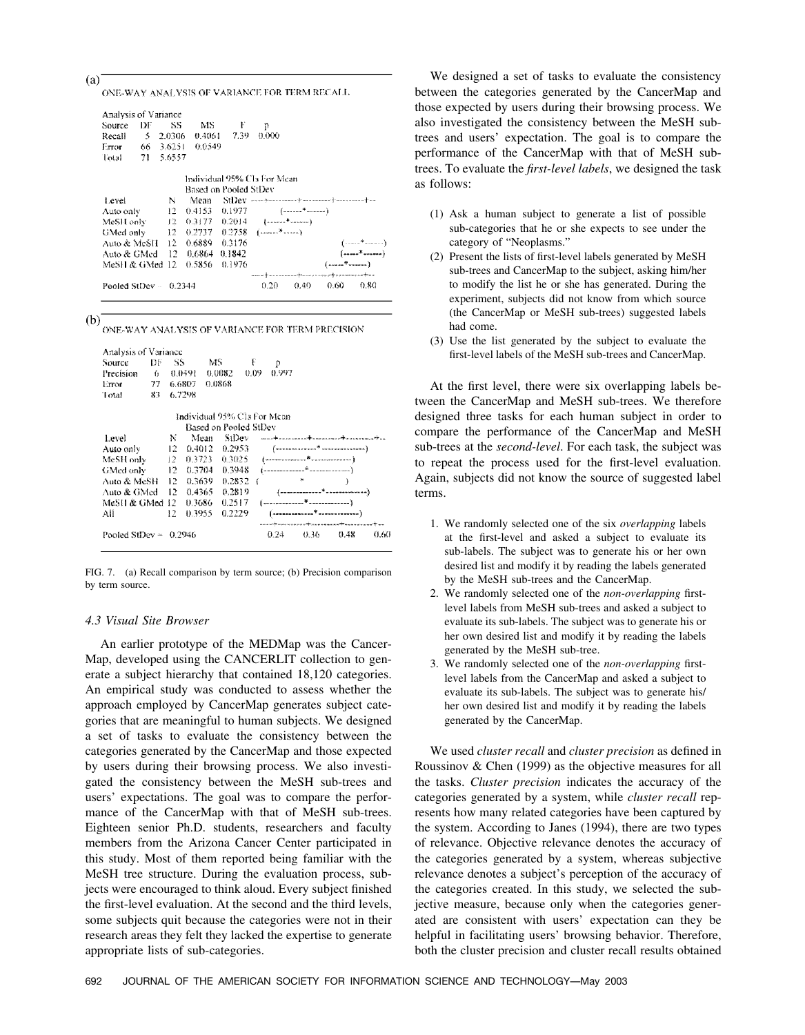$(a)$ ONE-WAY ANALYSIS OF VARIANCE FOR TERM RECALL Analysis of Variance DF **MS**  $\mathbf{F}$ Source **SS** Þ 2.0306 0.4061 7.39 0.000 Recall -5  $-3.6251$ 0.0549 Error 66. Total 71 5.6557 Individual 95% CIs For Mean Based on Pooled StDev Level Mean StDev Auto only  $12$ 0.4153 0.1977 MeSH only 0.3177 0.2014 ومستنبه بأستنبغ  $12$ 0.2737 0.2758  $\overline{(\cdots \cdots \cdots}$ 12 GMed only Auto & McSH  $12$ 0.3176 0.6889 *(.....*\*.......) Auto & GMed  $17$ 0.6864 0.1842 MeSH & GMed 12 0.5856 0.1976 ada a san san san dari Pooled StDev - 0.2344  $0.20$  $0.40$  $0.60$ 0.80

 $(b)$ 

ONE-WAY ANALYSIS OF VARIANCE FOR TERM PRECISION

| Analysis of Variance |     |        |           |      |                       |            |                                      |      |                                                                                     |      |
|----------------------|-----|--------|-----------|------|-----------------------|------------|--------------------------------------|------|-------------------------------------------------------------------------------------|------|
| Source.              | DF. |        | - 88 -    |      | MS -                  | F          | p                                    |      |                                                                                     |      |
| Precision            | 6   |        | 0.0491    |      | $0.0082 - 0.09$       |            | 0.997                                |      |                                                                                     |      |
| Error                | 77. |        | 6.6807    |      | 0.0868                |            |                                      |      |                                                                                     |      |
| Total                | 83  |        | 6.7298    |      |                       |            |                                      |      |                                                                                     |      |
|                      |     |        |           |      |                       |            | Individual 95% C1s For Mean          |      |                                                                                     |      |
|                      |     |        |           |      | Based on Pooled StDev |            |                                      |      |                                                                                     |      |
| Level                |     | N      |           | Mean |                       | SiDev -    |                                      |      | — —— <del>4</del> --------- <del>4</del> --------- <del>4</del> ------ <del>-</del> |      |
| Auto only –          |     | 12.    |           |      | $0.4012 - 0.2953$     |            |                                      |      |                                                                                     |      |
| McSH only            |     | $12 -$ |           |      | $0.3723 - 0.3025$     |            | (wenderlanded # additionations)      |      |                                                                                     |      |
| GMed only            |     |        | 12 0.3704 |      | 0.3948                |            |                                      |      |                                                                                     |      |
| Auto & MeSH -        |     |        | 12 0.3639 |      | 0.2832                | $\epsilon$ |                                      |      |                                                                                     |      |
| Auto & GMed          |     | 12     | 0.4365    |      | 0.2819                |            |                                      |      | {============ <sup>*</sup> ==============                                           |      |
| MeSH & GMed 12       |     |        | 0.3686    |      | 0.2517                |            | [www.www.www.*uww.com/manachina.com] |      |                                                                                     |      |
| АH                   |     | 12     | 0.3955    |      | 0.2229.               |            |                                      |      |                                                                                     |      |
| Pooled StDev =       |     |        | 0.2946    |      |                       |            | 0.24                                 | 0.36 | 0.48                                                                                | 0.60 |

FIG. 7. (a) Recall comparison by term source; (b) Precision comparison by term source.

#### *4.3 Visual Site Browser*

An earlier prototype of the MEDMap was the Cancer-Map, developed using the CANCERLIT collection to generate a subject hierarchy that contained 18,120 categories. An empirical study was conducted to assess whether the approach employed by CancerMap generates subject categories that are meaningful to human subjects. We designed a set of tasks to evaluate the consistency between the categories generated by the CancerMap and those expected by users during their browsing process. We also investigated the consistency between the MeSH sub-trees and users' expectations. The goal was to compare the performance of the CancerMap with that of MeSH sub-trees. Eighteen senior Ph.D. students, researchers and faculty members from the Arizona Cancer Center participated in this study. Most of them reported being familiar with the MeSH tree structure. During the evaluation process, subjects were encouraged to think aloud. Every subject finished the first-level evaluation. At the second and the third levels, some subjects quit because the categories were not in their research areas they felt they lacked the expertise to generate appropriate lists of sub-categories.

We designed a set of tasks to evaluate the consistency between the categories generated by the CancerMap and those expected by users during their browsing process. We also investigated the consistency between the MeSH subtrees and users' expectation. The goal is to compare the performance of the CancerMap with that of MeSH subtrees. To evaluate the *first-level labels*, we designed the task as follows:

- (1) Ask a human subject to generate a list of possible sub-categories that he or she expects to see under the category of "Neoplasms."
- (2) Present the lists of first-level labels generated by MeSH sub-trees and CancerMap to the subject, asking him/her to modify the list he or she has generated. During the experiment, subjects did not know from which source (the CancerMap or MeSH sub-trees) suggested labels had come.
- (3) Use the list generated by the subject to evaluate the first-level labels of the MeSH sub-trees and CancerMap.

At the first level, there were six overlapping labels between the CancerMap and MeSH sub-trees. We therefore designed three tasks for each human subject in order to compare the performance of the CancerMap and MeSH sub-trees at the *second-level*. For each task, the subject was to repeat the process used for the first-level evaluation. Again, subjects did not know the source of suggested label terms.

- 1. We randomly selected one of the six *overlapping* labels at the first-level and asked a subject to evaluate its sub-labels. The subject was to generate his or her own desired list and modify it by reading the labels generated by the MeSH sub-trees and the CancerMap.
- 2. We randomly selected one of the *non-overlapping* firstlevel labels from MeSH sub-trees and asked a subject to evaluate its sub-labels. The subject was to generate his or her own desired list and modify it by reading the labels generated by the MeSH sub-tree.
- 3. We randomly selected one of the *non-overlapping* firstlevel labels from the CancerMap and asked a subject to evaluate its sub-labels. The subject was to generate his/ her own desired list and modify it by reading the labels generated by the CancerMap.

We used *cluster recall* and *cluster precision* as defined in Roussinov & Chen (1999) as the objective measures for all the tasks. *Cluster precision* indicates the accuracy of the categories generated by a system, while *cluster recall* represents how many related categories have been captured by the system. According to Janes (1994), there are two types of relevance. Objective relevance denotes the accuracy of the categories generated by a system, whereas subjective relevance denotes a subject's perception of the accuracy of the categories created. In this study, we selected the subjective measure, because only when the categories generated are consistent with users' expectation can they be helpful in facilitating users' browsing behavior. Therefore, both the cluster precision and cluster recall results obtained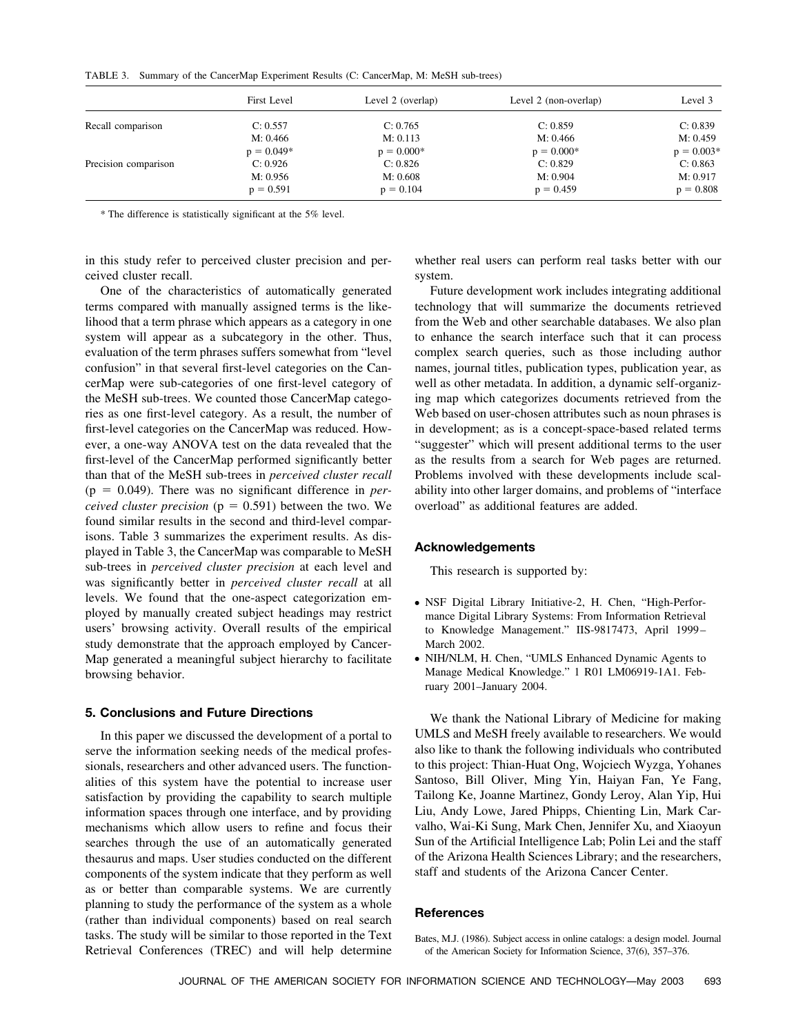TABLE 3. Summary of the CancerMap Experiment Results (C: CancerMap, M: MeSH sub-trees)

|                      | First Level  | Level 2 (overlap) | Level 2 (non-overlap) | Level 3      |
|----------------------|--------------|-------------------|-----------------------|--------------|
| Recall comparison    | C: 0.557     | C: 0.765          | C: 0.859              | C: 0.839     |
|                      | M: 0.466     | M: 0.113          | M: 0.466              | M: 0.459     |
|                      | $p = 0.049*$ | $p = 0.000*$      | $p = 0.000*$          | $p = 0.003*$ |
| Precision comparison | C: 0.926     | C: 0.826          | C: 0.829              | C: 0.863     |
|                      | M: 0.956     | M: 0.608          | M: 0.904              | M: 0.917     |
|                      | $p = 0.591$  | $p = 0.104$       | $p = 0.459$           | $p = 0.808$  |

\* The difference is statistically significant at the 5% level.

in this study refer to perceived cluster precision and perceived cluster recall.

One of the characteristics of automatically generated terms compared with manually assigned terms is the likelihood that a term phrase which appears as a category in one system will appear as a subcategory in the other. Thus, evaluation of the term phrases suffers somewhat from "level confusion" in that several first-level categories on the CancerMap were sub-categories of one first-level category of the MeSH sub-trees. We counted those CancerMap categories as one first-level category. As a result, the number of first-level categories on the CancerMap was reduced. However, a one-way ANOVA test on the data revealed that the first-level of the CancerMap performed significantly better than that of the MeSH sub-trees in *perceived cluster recall*  $(p = 0.049)$ . There was no significant difference in *perceived cluster precision* ( $p = 0.591$ ) between the two. We found similar results in the second and third-level comparisons. Table 3 summarizes the experiment results. As displayed in Table 3, the CancerMap was comparable to MeSH sub-trees in *perceived cluster precision* at each level and was significantly better in *perceived cluster recall* at all levels. We found that the one-aspect categorization employed by manually created subject headings may restrict users' browsing activity. Overall results of the empirical study demonstrate that the approach employed by Cancer-Map generated a meaningful subject hierarchy to facilitate browsing behavior.

#### **5. Conclusions and Future Directions**

In this paper we discussed the development of a portal to serve the information seeking needs of the medical professionals, researchers and other advanced users. The functionalities of this system have the potential to increase user satisfaction by providing the capability to search multiple information spaces through one interface, and by providing mechanisms which allow users to refine and focus their searches through the use of an automatically generated thesaurus and maps. User studies conducted on the different components of the system indicate that they perform as well as or better than comparable systems. We are currently planning to study the performance of the system as a whole (rather than individual components) based on real search tasks. The study will be similar to those reported in the Text Retrieval Conferences (TREC) and will help determine

whether real users can perform real tasks better with our system.

Future development work includes integrating additional technology that will summarize the documents retrieved from the Web and other searchable databases. We also plan to enhance the search interface such that it can process complex search queries, such as those including author names, journal titles, publication types, publication year, as well as other metadata. In addition, a dynamic self-organizing map which categorizes documents retrieved from the Web based on user-chosen attributes such as noun phrases is in development; as is a concept-space-based related terms "suggester" which will present additional terms to the user as the results from a search for Web pages are returned. Problems involved with these developments include scalability into other larger domains, and problems of "interface overload" as additional features are added.

#### **Acknowledgements**

This research is supported by:

- NSF Digital Library Initiative-2, H. Chen, "High-Performance Digital Library Systems: From Information Retrieval to Knowledge Management." IIS-9817473, April 1999 – March 2002.
- NIH/NLM, H. Chen, "UMLS Enhanced Dynamic Agents to Manage Medical Knowledge." 1 R01 LM06919-1A1. February 2001–January 2004.

We thank the National Library of Medicine for making UMLS and MeSH freely available to researchers. We would also like to thank the following individuals who contributed to this project: Thian-Huat Ong, Wojciech Wyzga, Yohanes Santoso, Bill Oliver, Ming Yin, Haiyan Fan, Ye Fang, Tailong Ke, Joanne Martinez, Gondy Leroy, Alan Yip, Hui Liu, Andy Lowe, Jared Phipps, Chienting Lin, Mark Carvalho, Wai-Ki Sung, Mark Chen, Jennifer Xu, and Xiaoyun Sun of the Artificial Intelligence Lab; Polin Lei and the staff of the Arizona Health Sciences Library; and the researchers, staff and students of the Arizona Cancer Center.

## **References**

Bates, M.J. (1986). Subject access in online catalogs: a design model. Journal of the American Society for Information Science, 37(6), 357–376.